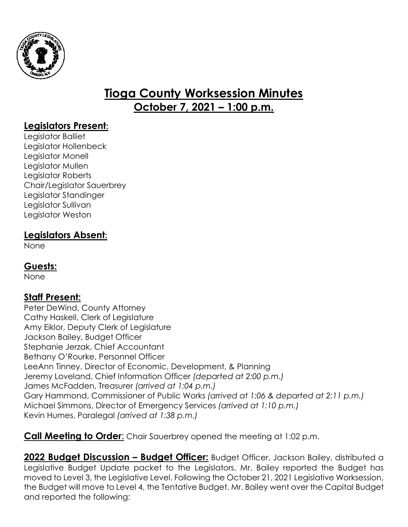

# **Tioga County Worksession Minutes October 7, 2021 – 1:00 p.m.**

# **Legislators Present:**

Legislator Balliet Legislator Hollenbeck Legislator Monell Legislator Mullen Legislator Roberts Chair/Legislator Sauerbrey Legislator Standinger Legislator Sullivan Legislator Weston

## **Legislators Absent:**

None

### **Guests:**

None

# **Staff Present:**

Peter DeWind, County Attorney Cathy Haskell, Clerk of Legislature Amy Eiklor, Deputy Clerk of Legislature Jackson Bailey, Budget Officer Stephanie Jerzak, Chief Accountant Bethany O'Rourke, Personnel Officer LeeAnn Tinney, Director of Economic, Development, & Planning Jeremy Loveland, Chief Information Officer *(departed at 2:00 p.m.)* James McFadden, Treasurer *(arrived at 1:04 p.m.)* Gary Hammond, Commissioner of Public Works *(arrived at 1:06 & departed at 2:11 p.m.)* Michael Simmons, Director of Emergency Services *(arrived at 1:10 p.m.)* Kevin Humes, Paralegal *(arrived at 1:38 p.m.)*

**Call Meeting to Order:** Chair Sauerbrey opened the meeting at 1:02 p.m.

**2022 Budget Discussion – Budget Officer:** Budget Officer, Jackson Bailey, distributed a Legislative Budget Update packet to the Legislators. Mr. Bailey reported the Budget has moved to Level 3, the Legislative Level. Following the October 21, 2021 Legislative Worksession, the Budget will move to Level 4, the Tentative Budget. Mr. Bailey went over the Capital Budget and reported the following: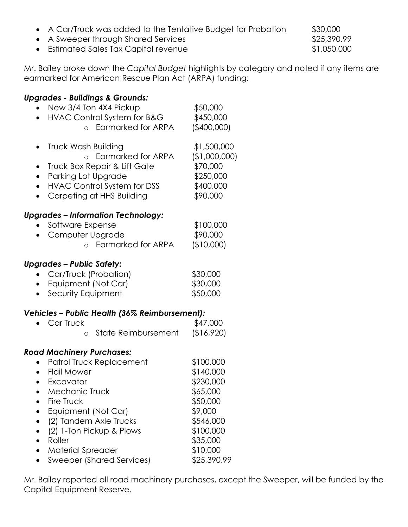- A Car/Truck was added to the Tentative Budget for Probation \$30,000
- A Sweeper through Shared Services **\$25,390.99**
- Estimated Sales Tax Capital revenue **\$1,050,000**

Mr. Bailey broke down the *Capital Budget* highlights by category and noted if any items are earmarked for American Rescue Plan Act (ARPA) funding:

#### *Upgrades - Buildings & Grounds:*

| $\bullet$                                        | New 3/4 Ton 4X4 Pickup<br>HVAC Control System for B&G<br>Earmarked for ARPA<br>$\circ$                                                                                                                                                                                                 | \$50,000<br>\$450,000<br>(\$400,000]                                                                                                    |
|--------------------------------------------------|----------------------------------------------------------------------------------------------------------------------------------------------------------------------------------------------------------------------------------------------------------------------------------------|-----------------------------------------------------------------------------------------------------------------------------------------|
| $\bullet$<br>$\bullet$<br>$\bullet$<br>$\bullet$ | Truck Wash Building<br>o Earmarked for ARPA<br>Truck Box Repair & Lift Gate<br>Parking Lot Upgrade<br><b>HVAC Control System for DSS</b><br>Carpeting at HHS Building                                                                                                                  | \$1,500,000<br>(\$1,000,000)<br>\$70,000<br>\$250,000<br>\$400,000<br>\$90,000                                                          |
|                                                  | <b>Upgrades – Information Technology:</b><br>Software Expense<br>Computer Upgrade<br><b>Earmarked for ARPA</b><br>$\circ$                                                                                                                                                              | \$100,000<br>\$90,000<br>(\$10,000)                                                                                                     |
|                                                  | <b>Upgrades – Public Safety:</b><br>Car/Truck (Probation)<br>Equipment (Not Car)<br>Security Equipment                                                                                                                                                                                 | \$30,000<br>\$30,000<br>\$50,000                                                                                                        |
|                                                  | Vehicles – Public Health (36% Reimbursement):<br>Car Truck<br>State Reimbursement<br>O                                                                                                                                                                                                 | \$47,000<br>(\$16,920)                                                                                                                  |
| $\bullet$<br>$\bullet$<br>$\bullet$              | <b>Road Machinery Purchases:</b><br>Patrol Truck Replacement<br><b>Flail Mower</b><br>Excavator<br>Mechanic Truck<br>Fire Truck<br>Equipment (Not Car)<br>(2) Tandem Axle Trucks<br>(2) 1-Ton Pickup & Plows<br>Roller<br><b>Material Spreader</b><br><b>Sweeper (Shared Services)</b> | \$100,000<br>\$140,000<br>\$230,000<br>\$65,000<br>\$50,000<br>\$9,000<br>\$546,000<br>\$100,000<br>\$35,000<br>\$10,000<br>\$25,390.99 |

Mr. Bailey reported all road machinery purchases, except the Sweeper, will be funded by the Capital Equipment Reserve.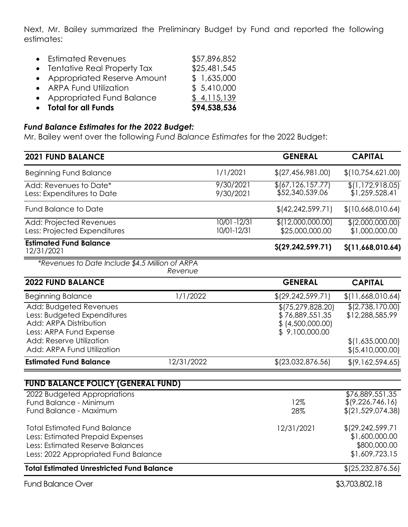Next, Mr. Bailey summarized the Preliminary Budget by Fund and reported the following estimates:

| • Total for all Funds         | \$94,538,536 |
|-------------------------------|--------------|
| • Appropriated Fund Balance   | \$4,115,139  |
| • ARPA Fund Utilization       | \$5,410,000  |
| • Appropriated Reserve Amount | \$1,635,000  |
| • Tentative Real Property Tax | \$25,481,545 |
| • Estimated Revenues          | \$57,896,852 |

### *Fund Balance Estimates for the 2022 Budget:*

Mr. Bailey went over the following *Fund Balance Estimates* for the 2022 Budget:

| <b>2021 FUND BALANCE</b>                                                                                                                            |            |                                | <b>GENERAL</b>                                                                | <b>CAPITAL</b>                                                         |
|-----------------------------------------------------------------------------------------------------------------------------------------------------|------------|--------------------------------|-------------------------------------------------------------------------------|------------------------------------------------------------------------|
| <b>Beginning Fund Balance</b>                                                                                                                       |            | 1/1/2021                       | \$(27, 456, 981.00)                                                           | \$(10,754,621.00)                                                      |
| Add: Revenues to Date*<br>Less: Expenditures to Date                                                                                                |            | 9/30/2021<br>9/30/2021         | \$(67, 126, 157.77)<br>\$52,340,539.06                                        | \$(1,172,918.05)<br>\$1,259,528.41                                     |
| <b>Fund Balance to Date</b>                                                                                                                         |            |                                | \$ (42, 242, 599.71)                                                          | \$(10,668,010.64)                                                      |
| Add: Projected Revenues<br>Less: Projected Expenditures                                                                                             |            | $10/01 - 12/31$<br>10/01-12/31 | \$(12,000,000.00)<br>\$25,000,000.00                                          | \$(2,000,000.00)<br>\$1,000,000.00                                     |
| <b>Estimated Fund Balance</b><br>12/31/2021                                                                                                         |            |                                | \$(29, 242, 599.71)                                                           | \$(11,668,010.64)                                                      |
| *Revenues to Date Include \$4.5 Million of ARPA                                                                                                     | Revenue    |                                |                                                                               |                                                                        |
| <b>2022 FUND BALANCE</b>                                                                                                                            |            |                                | <b>GENERAL</b>                                                                | <b>CAPITAL</b>                                                         |
| <b>Beginning Balance</b>                                                                                                                            | 1/1/2022   |                                | \$(29, 242, 599.71)                                                           | \$(11,668,010.64)                                                      |
| Add: Budgeted Revenues<br>Less: Budgeted Expenditures<br>Add: ARPA Distribution<br>Less: ARPA Fund Expense                                          |            |                                | \$(75, 279, 828.20)<br>\$76,889,551.35<br>\$ (4,500,000.00)<br>\$9,100,000.00 | \$(2,738,170.00)<br>\$12,288,585.99                                    |
| <b>Add: Reserve Utilization</b><br>Add: ARPA Fund Utilization                                                                                       |            |                                |                                                                               | \$(1,635,000.00)<br>\$ (5,410,000.00)                                  |
| <b>Estimated Fund Balance</b>                                                                                                                       | 12/31/2022 |                                | $$$ (23,032,876.56)                                                           | \$(9,162,594.65)                                                       |
| <b>FUND BALANCE POLICY (GENERAL FUND)</b>                                                                                                           |            |                                |                                                                               |                                                                        |
| 2022 Budgeted Appropriations<br>Fund Balance - Minimum<br>Fund Balance - Maximum                                                                    |            |                                | 12%<br>28%                                                                    | \$76,889,551,35<br>\$(9,226,746.16)<br>\$(21, 529, 074.38)             |
| <b>Total Estimated Fund Balance</b><br>Less: Estimated Prepaid Expenses<br>Less: Estimated Reserve Balances<br>Less: 2022 Appropriated Fund Balance |            |                                | 12/31/2021                                                                    | \$129, 242, 599.71<br>\$1,600,000.00<br>\$800,000.00<br>\$1,609,723.15 |
| <b>Total Estimated Unrestricted Fund Balance</b>                                                                                                    |            |                                |                                                                               | \$ (25, 232, 876.56)                                                   |
| <b>Fund Balance Over</b>                                                                                                                            |            |                                |                                                                               | \$3,703,802.18                                                         |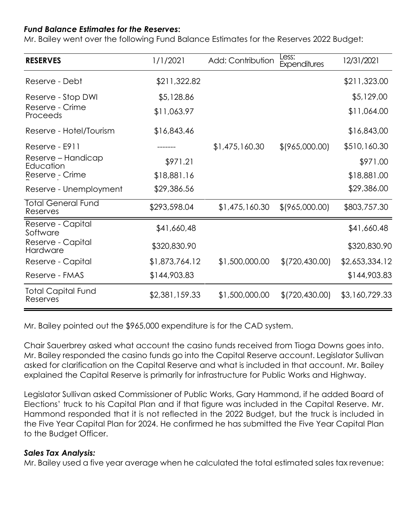#### *Fund Balance Estimates for the Reserves***:**

Mr. Bailey went over the following Fund Balance Estimates for the Reserves 2022 Budget:

| <b>RESERVES</b>                       | 1/1/2021       | Add: Contribution | Less:<br>Expenditures | 12/31/2021     |
|---------------------------------------|----------------|-------------------|-----------------------|----------------|
| Reserve - Debt                        | \$211,322.82   |                   |                       | \$211,323.00   |
| Reserve - Stop DWI                    | \$5,128.86     |                   |                       | \$5,129,00     |
| Reserve - Crime<br>Proceeds           | \$11,063.97    |                   |                       | \$11,064.00    |
| Reserve - Hotel/Tourism               | \$16,843.46    |                   |                       | \$16,843,00    |
| Reserve - E911                        |                | \$1,475,160.30    | $$$ (965,000.00)      | \$510,160.30   |
| Reserve - Handicap<br>Education       | \$971.21       |                   |                       | \$971.00       |
| Reserve - Crime                       | \$18,881.16    |                   |                       | \$18,881.00    |
| Reserve - Unemployment                | \$29,386.56    |                   |                       | \$29,386.00    |
| <b>Total General Fund</b><br>Reserves | \$293,598.04   | \$1,475,160.30    | $$$ (965,000.00)      | \$803,757.30   |
| Reserve - Capital<br>Software         | \$41,660,48    |                   |                       | \$41,660.48    |
| Reserve - Capital<br>Hardware         | \$320,830.90   |                   |                       | \$320,830.90   |
| Reserve - Capital                     | \$1,873,764.12 | \$1,500,000.00    | \$ (720, 430.00)      | \$2,653,334.12 |
| Reserve - FMAS                        | \$144,903.83   |                   |                       | \$144,903.83   |
| <b>Total Capital Fund</b><br>Reserves | \$2,381,159.33 | \$1,500,000.00    | \$ (720, 430.00)      | \$3,160,729.33 |

Mr. Bailey pointed out the \$965,000 expenditure is for the CAD system.

Chair Sauerbrey asked what account the casino funds received from Tioga Downs goes into. Mr. Bailey responded the casino funds go into the Capital Reserve account. Legislator Sullivan asked for clarification on the Capital Reserve and what is included in that account. Mr. Bailey explained the Capital Reserve is primarily for infrastructure for Public Works and Highway.

Legislator Sullivan asked Commissioner of Public Works, Gary Hammond, if he added Board of Elections' truck to his Capital Plan and if that figure was included in the Capital Reserve. Mr. Hammond responded that it is not reflected in the 2022 Budget, but the truck is included in the Five Year Capital Plan for 2024. He confirmed he has submitted the Five Year Capital Plan to the Budget Officer.

#### *Sales Tax Analysis:*

Mr. Bailey used a five year average when he calculated the total estimated sales tax revenue: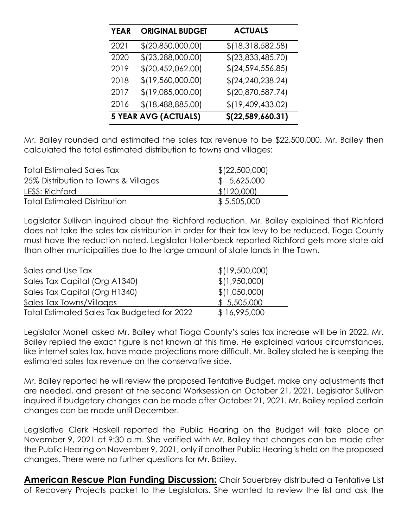| <b>YEAR</b> | <b>ORIGINAL BUDGET</b>      | <b>ACTUALS</b>      |
|-------------|-----------------------------|---------------------|
| 2021        | \$(20, 850, 000.00)         | \$(18,318,582.58)   |
| 2020        | \$(23, 288, 000.00)         | \$(23,833,485.70)   |
| 2019        | \$(20, 452, 062.00)         | $$$ (24,594,556.85) |
| 2018        | \$(19,560,000.00)           | \$(24, 240, 238.24) |
| 2017        | \$(19,085,000.00)           | \$(20, 870, 587.74) |
| 2016        | \$(18,488,885.00)           | \$(19,409,433.02)   |
|             | <b>5 YEAR AVG (ACTUALS)</b> | \$(22, 589, 660.31) |

Mr. Bailey rounded and estimated the sales tax revenue to be \$22,500,000. Mr. Bailey then calculated the total estimated distribution to towns and villages:

| <b>Total Estimated Sales Tax</b>     | \$ (22,500,000) |
|--------------------------------------|-----------------|
| 25% Distribution to Towns & Villages | \$5,625,000     |
| LESS: Richford                       | \$(120,000)     |
| <b>Total Estimated Distribution</b>  | \$5,505,000     |

Legislator Sullivan inquired about the Richford reduction. Mr. Bailey explained that Richford does not take the sales tax distribution in order for their tax levy to be reduced. Tioga County must have the reduction noted. Legislator Hollenbeck reported Richford gets more state aid than other municipalities due to the large amount of state lands in the Town.

| Sales and Use Tax                           | \$(19,500,000) |
|---------------------------------------------|----------------|
| Sales Tax Capital (Org A1340)               | \$(1,950,000)  |
| Sales Tax Capital (Org H1340)               | \$(1,050,000)  |
| Sales Tax Towns/Villages                    | \$5,505,000    |
| Total Estimated Sales Tax Budgeted for 2022 | \$16,995,000   |

Legislator Monell asked Mr. Bailey what Tioga County's sales tax increase will be in 2022. Mr. Bailey replied the exact figure is not known at this time. He explained various circumstances, like internet sales tax, have made projections more difficult. Mr. Bailey stated he is keeping the estimated sales tax revenue on the conservative side.

Mr. Bailey reported he will review the proposed Tentative Budget, make any adjustments that are needed, and present at the second Worksession on October 21, 2021. Legislator Sullivan inquired if budgetary changes can be made after October 21, 2021. Mr. Bailey replied certain changes can be made until December.

Legislative Clerk Haskell reported the Public Hearing on the Budget will take place on November 9, 2021 at 9:30 a.m. She verified with Mr. Bailey that changes can be made after the Public Hearing on November 9, 2021, only if another Public Hearing is held on the proposed changes. There were no further questions for Mr. Bailey.

**American Rescue Plan Funding Discussion:** Chair Sauerbrey distributed a Tentative List of Recovery Projects packet to the Legislators. She wanted to review the list and ask the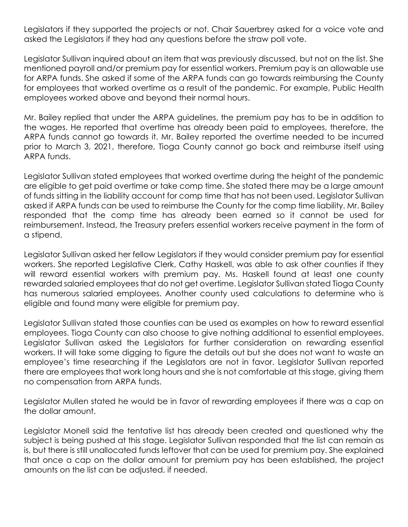Legislators if they supported the projects or not. Chair Sauerbrey asked for a voice vote and asked the Legislators if they had any questions before the straw poll vote.

Legislator Sullivan inquired about an item that was previously discussed, but not on the list. She mentioned payroll and/or premium pay for essential workers. Premium pay is an allowable use for ARPA funds. She asked if some of the ARPA funds can go towards reimbursing the County for employees that worked overtime as a result of the pandemic. For example, Public Health employees worked above and beyond their normal hours.

Mr. Bailey replied that under the ARPA guidelines, the premium pay has to be in addition to the wages. He reported that overtime has already been paid to employees, therefore, the ARPA funds cannot go towards it. Mr. Bailey reported the overtime needed to be incurred prior to March 3, 2021, therefore, Tioga County cannot go back and reimburse itself using ARPA funds.

Legislator Sullivan stated employees that worked overtime during the height of the pandemic are eligible to get paid overtime or take comp time. She stated there may be a large amount of funds sitting in the liability account for comp time that has not been used. Legislator Sullivan asked if ARPA funds can be used to reimburse the County for the comp time liability. Mr. Bailey responded that the comp time has already been earned so it cannot be used for reimbursement. Instead, the Treasury prefers essential workers receive payment in the form of a stipend.

Legislator Sullivan asked her fellow Legislators if they would consider premium pay for essential workers. She reported Legislative Clerk, Cathy Haskell, was able to ask other counties if they will reward essential workers with premium pay. Ms. Haskell found at least one county rewarded salaried employees that do not get overtime. Legislator Sullivan stated Tioga County has numerous salaried employees. Another county used calculations to determine who is eligible and found many were eligible for premium pay.

Legislator Sullivan stated those counties can be used as examples on how to reward essential employees. Tioga County can also choose to give nothing additional to essential employees. Legislator Sullivan asked the Legislators for further consideration on rewarding essential workers. It will take some digging to figure the details out but she does not want to waste an employee's time researching if the Legislators are not in favor. Legislator Sullivan reported there are employees that work long hours and she is not comfortable at this stage, giving them no compensation from ARPA funds.

Legislator Mullen stated he would be in favor of rewarding employees if there was a cap on the dollar amount.

Legislator Monell said the tentative list has already been created and questioned why the subject is being pushed at this stage. Legislator Sullivan responded that the list can remain as is, but there is still unallocated funds leftover that can be used for premium pay. She explained that once a cap on the dollar amount for premium pay has been established, the project amounts on the list can be adjusted, if needed.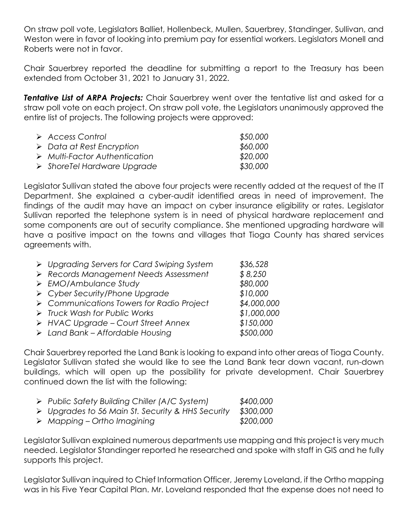On straw poll vote, Legislators Balliet, Hollenbeck, Mullen, Sauerbrey, Standinger, Sullivan, and Weston were in favor of looking into premium pay for essential workers. Legislators Monell and Roberts were not in favor.

Chair Sauerbrey reported the deadline for submitting a report to the Treasury has been extended from October 31, 2021 to January 31, 2022.

**Tentative List of ARPA Projects:** Chair Sauerbrey went over the tentative list and asked for a straw poll vote on each project. On straw poll vote, the Legislators unanimously approved the entire list of projects. The following projects were approved:

| $\triangleright$ Access Control              | \$50,000 |
|----------------------------------------------|----------|
| $\triangleright$ Data at Rest Encryption     | \$60,000 |
| $\triangleright$ Multi-Factor Authentication | \$20,000 |
| $\triangleright$ Shore Tel Hardware Upgrade  | \$30,000 |

Legislator Sullivan stated the above four projects were recently added at the request of the IT Department. She explained a cyber-audit identified areas in need of improvement. The findings of the audit may have an impact on cyber insurance eligibility or rates. Legislator Sullivan reported the telephone system is in need of physical hardware replacement and some components are out of security compliance. She mentioned upgrading hardware will have a positive impact on the towns and villages that Tioga County has shared services agreements with.

| > Upgrading Servers for Card Swiping System              | \$36,528    |
|----------------------------------------------------------|-------------|
| > Records Management Needs Assessment                    | \$8,250     |
| $\triangleright$ EMO/Ambulance Study                     | \$80,000    |
| > Cyber Security/Phone Upgrade                           | \$10,000    |
| $\triangleright$ Communications Towers for Radio Project | \$4,000,000 |
| > Truck Wash for Public Works                            | \$1,000,000 |
| > HVAC Upgrade - Court Street Annex                      | \$150,000   |
| $\triangleright$ Land Bank - Affordable Housing          | \$500,000   |

Chair Sauerbrey reported the Land Bank is looking to expand into other areas of Tioga County. Legislator Sullivan stated she would like to see the Land Bank tear down vacant, run-down buildings, which will open up the possibility for private development. Chair Sauerbrey continued down the list with the following:

| $\triangleright$ Public Safety Building Chiller (A/C System)     | \$400,000 |
|------------------------------------------------------------------|-----------|
| $\triangleright$ Upgrades to 56 Main St. Security & HHS Security | \$300,000 |
| $\triangleright$ Mapping – Ortho Imagining                       | \$200,000 |

Legislator Sullivan explained numerous departments use mapping and this project is very much needed. Legislator Standinger reported he researched and spoke with staff in GIS and he fully supports this project.

Legislator Sullivan inquired to Chief Information Officer, Jeremy Loveland, if the Ortho mapping was in his Five Year Capital Plan. Mr. Loveland responded that the expense does not need to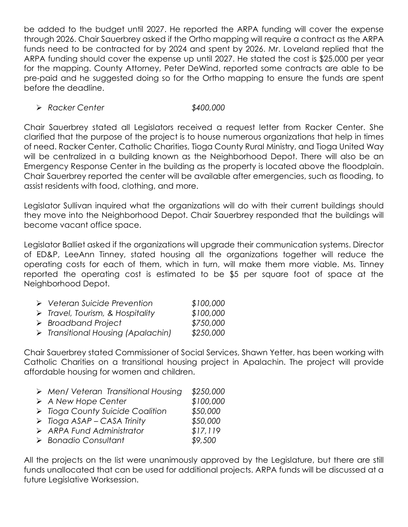be added to the budget until 2027. He reported the ARPA funding will cover the expense through 2026. Chair Sauerbrey asked if the Ortho mapping will require a contract as the ARPA funds need to be contracted for by 2024 and spent by 2026. Mr. Loveland replied that the ARPA funding should cover the expense up until 2027. He stated the cost is \$25,000 per year for the mapping. County Attorney, Peter DeWind, reported some contracts are able to be pre-paid and he suggested doing so for the Ortho mapping to ensure the funds are spent before the deadline.

#### *Racker Center \$400,000*

Chair Sauerbrey stated all Legislators received a request letter from Racker Center. She clarified that the purpose of the project is to house numerous organizations that help in times of need. Racker Center, Catholic Charities, Tioga County Rural Ministry, and Tioga United Way will be centralized in a building known as the Neighborhood Depot. There will also be an Emergency Response Center in the building as the property is located above the floodplain. Chair Sauerbrey reported the center will be available after emergencies, such as flooding, to assist residents with food, clothing, and more.

Legislator Sullivan inquired what the organizations will do with their current buildings should they move into the Neighborhood Depot. Chair Sauerbrey responded that the buildings will become vacant office space.

Legislator Balliet asked if the organizations will upgrade their communication systems. Director of ED&P, LeeAnn Tinney, stated housing all the organizations together will reduce the operating costs for each of them, which in turn, will make them more viable. Ms. Tinney reported the operating cost is estimated to be \$5 per square foot of space at the Neighborhood Depot.

| $\triangleright$ Veteran Suicide Prevention       | \$100,000 |
|---------------------------------------------------|-----------|
| $\triangleright$ Travel, Tourism, & Hospitality   | \$100,000 |
| $\triangleright$ Broadband Project                | \$750,000 |
| $\triangleright$ Transitional Housing (Apalachin) | \$250,000 |

Chair Sauerbrey stated Commissioner of Social Services, Shawn Yetter, has been working with Catholic Charities on a transitional housing project in Apalachin. The project will provide affordable housing for women and children.

| $\triangleright$ Men/ Veteran Transitional Housing | \$250,000 |
|----------------------------------------------------|-----------|
| $\triangleright$ A New Hope Center                 | \$100,000 |
| > Tioga County Suicide Coalition                   | \$50,000  |
| $\triangleright$ Tioga ASAP – CASA Trinity         | \$50,000  |
| $\triangleright$ ARPA Fund Administrator           | \$17,119  |
| $\triangleright$ Bonadio Consultant                | \$9,500   |

All the projects on the list were unanimously approved by the Legislature, but there are still funds unallocated that can be used for additional projects. ARPA funds will be discussed at a future Legislative Worksession.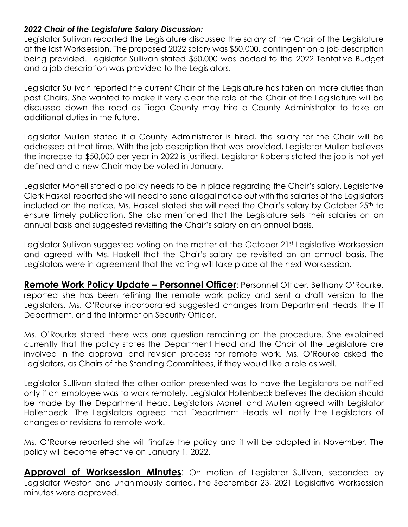#### *2022 Chair of the Legislature Salary Discussion:*

Legislator Sullivan reported the Legislature discussed the salary of the Chair of the Legislature at the last Worksession. The proposed 2022 salary was \$50,000, contingent on a job description being provided. Legislator Sullivan stated \$50,000 was added to the 2022 Tentative Budget and a job description was provided to the Legislators.

Legislator Sullivan reported the current Chair of the Legislature has taken on more duties than past Chairs. She wanted to make it very clear the role of the Chair of the Legislature will be discussed down the road as Tioga County may hire a County Administrator to take on additional duties in the future.

Legislator Mullen stated if a County Administrator is hired, the salary for the Chair will be addressed at that time. With the job description that was provided, Legislator Mullen believes the increase to \$50,000 per year in 2022 is justified. Legislator Roberts stated the job is not yet defined and a new Chair may be voted in January.

Legislator Monell stated a policy needs to be in place regarding the Chair's salary. Legislative Clerk Haskell reported she will need to send a legal notice out with the salaries of the Legislators included on the notice. Ms. Haskell stated she will need the Chair's salary by October 25<sup>th</sup> to ensure timely publication. She also mentioned that the Legislature sets their salaries on an annual basis and suggested revisiting the Chair's salary on an annual basis.

Legislator Sullivan suggested voting on the matter at the October 21st Legislative Worksession and agreed with Ms. Haskell that the Chair's salary be revisited on an annual basis. The Legislators were in agreement that the voting will take place at the next Worksession.

**Remote Work Policy Update – Personnel Officer**: Personnel Officer, Bethany O'Rourke, reported she has been refining the remote work policy and sent a draft version to the Legislators. Ms. O'Rourke incorporated suggested changes from Department Heads, the IT Department, and the Information Security Officer.

Ms. O'Rourke stated there was one question remaining on the procedure. She explained currently that the policy states the Department Head and the Chair of the Legislature are involved in the approval and revision process for remote work. Ms. O'Rourke asked the Legislators, as Chairs of the Standing Committees, if they would like a role as well.

Legislator Sullivan stated the other option presented was to have the Legislators be notified only if an employee was to work remotely. Legislator Hollenbeck believes the decision should be made by the Department Head. Legislators Monell and Mullen agreed with Legislator Hollenbeck. The Legislators agreed that Department Heads will notify the Legislators of changes or revisions to remote work.

Ms. O'Rourke reported she will finalize the policy and it will be adopted in November. The policy will become effective on January 1, 2022.

**Approval of Worksession Minutes**: On motion of Legislator Sullivan, seconded by Legislator Weston and unanimously carried, the September 23, 2021 Legislative Worksession minutes were approved.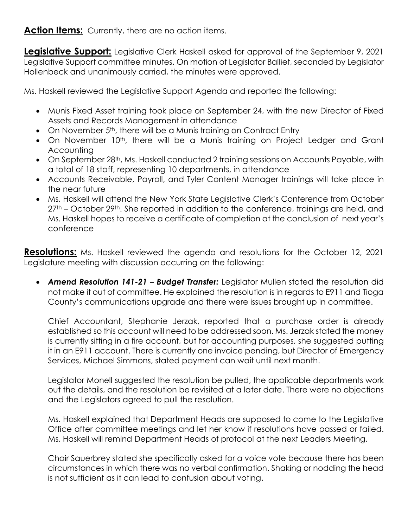### Action Items: Currently, there are no action items.

**Legislative Support:** Legislative Clerk Haskell asked for approval of the September 9, 2021 Legislative Support committee minutes. On motion of Legislator Balliet, seconded by Legislator Hollenbeck and unanimously carried, the minutes were approved.

Ms. Haskell reviewed the Legislative Support Agenda and reported the following:

- Munis Fixed Asset training took place on September 24, with the new Director of Fixed Assets and Records Management in attendance
- On November 5<sup>th</sup>, there will be a Munis training on Contract Entry
- On November 10<sup>th</sup>, there will be a Munis training on Project Ledger and Grant **Accounting**
- On September 28<sup>th</sup>, Ms. Haskell conducted 2 training sessions on Accounts Payable, with a total of 18 staff, representing 10 departments, in attendance
- Accounts Receivable, Payroll, and Tyler Content Manager trainings will take place in the near future
- Ms. Haskell will attend the New York State Legislative Clerk's Conference from October 27<sup>th</sup> – October 29<sup>th</sup>. She reported in addition to the conference, trainings are held, and Ms. Haskell hopes to receive a certificate of completion at the conclusion of next year's conference

**Resolutions:** Ms. Haskell reviewed the agenda and resolutions for the October 12, 2021 Legislature meeting with discussion occurring on the following:

 *Amend Resolution 141-21 – Budget Transfer:* Legislator Mullen stated the resolution did not make it out of committee. He explained the resolution is in regards to E911 and Tioga County's communications upgrade and there were issues brought up in committee.

Chief Accountant, Stephanie Jerzak, reported that a purchase order is already established so this account will need to be addressed soon. Ms. Jerzak stated the money is currently sitting in a fire account, but for accounting purposes, she suggested putting it in an E911 account. There is currently one invoice pending, but Director of Emergency Services, Michael Simmons, stated payment can wait until next month.

Legislator Monell suggested the resolution be pulled, the applicable departments work out the details, and the resolution be revisited at a later date. There were no objections and the Legislators agreed to pull the resolution.

Ms. Haskell explained that Department Heads are supposed to come to the Legislative Office after committee meetings and let her know if resolutions have passed or failed. Ms. Haskell will remind Department Heads of protocol at the next Leaders Meeting.

Chair Sauerbrey stated she specifically asked for a voice vote because there has been circumstances in which there was no verbal confirmation. Shaking or nodding the head is not sufficient as it can lead to confusion about voting.